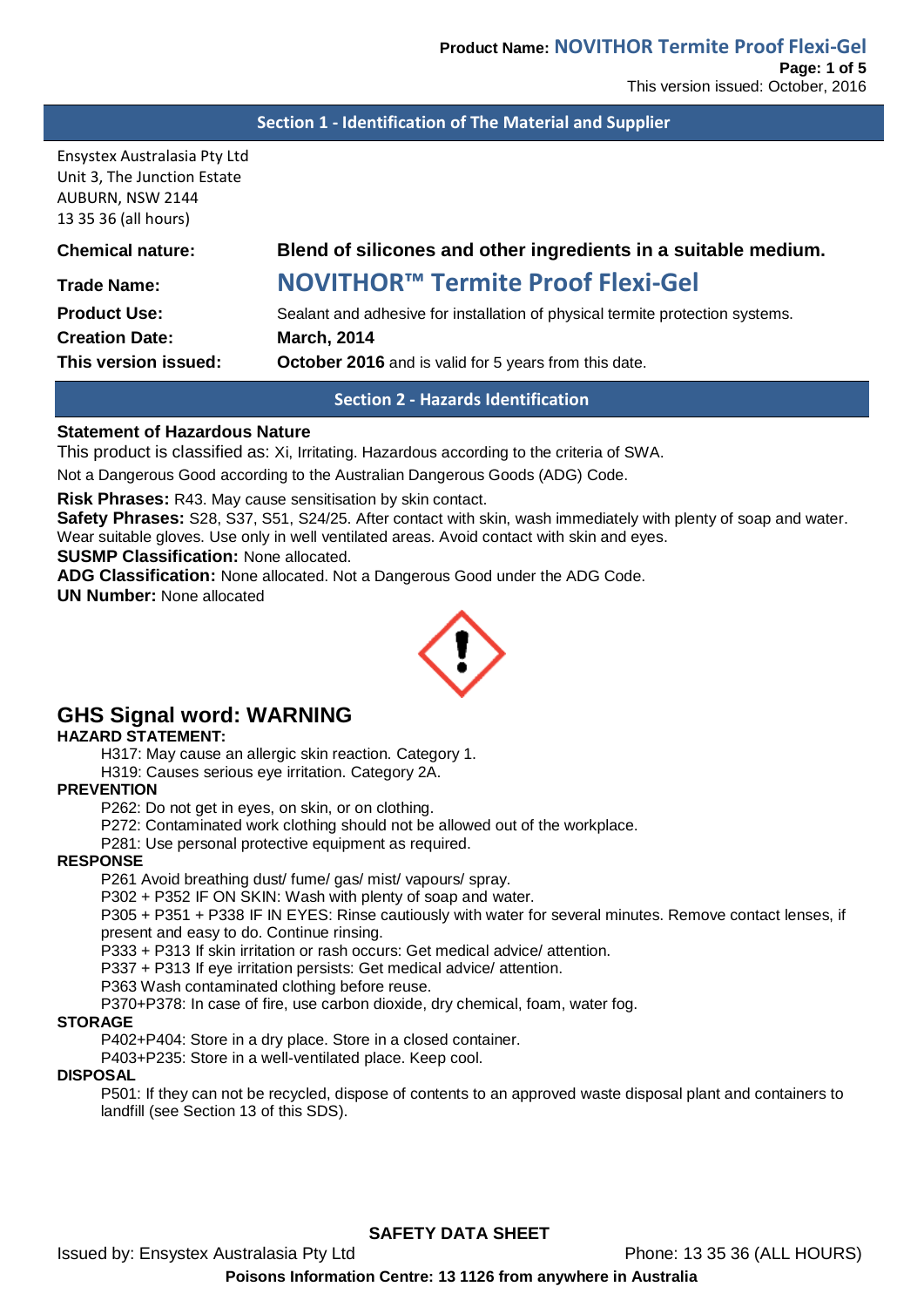#### **Section 1 - Identification of The Material and Supplier**

Ensystex Australasia Pty Ltd Unit 3, The Junction Estate AUBURN, NSW 2144 13 35 36 (all hours)

# **Chemical nature: Blend of silicones and other ingredients in a suitable medium.**

# **Trade Name: NOVITHOR™ Termite Proof Flexi-Gel**

**Creation Date: March, 2014**

**Product Use:** Sealant and adhesive for installation of physical termite protection systems. **This version issued: October 2016** and is valid for 5 years from this date.

#### **Section 2 - Hazards Identification**

#### **Statement of Hazardous Nature**

This product is classified as: Xi, Irritating. Hazardous according to the criteria of SWA.

Not a Dangerous Good according to the Australian Dangerous Goods (ADG) Code.

**Risk Phrases:** R43. May cause sensitisation by skin contact.

**Safety Phrases:** S28, S37, S51, S24/25. After contact with skin, wash immediately with plenty of soap and water. Wear suitable gloves. Use only in well ventilated areas. Avoid contact with skin and eyes.

**SUSMP Classification:** None allocated.

**ADG Classification:** None allocated. Not a Dangerous Good under the ADG Code.

**UN Number:** None allocated



# **GHS Signal word: WARNING**

**HAZARD STATEMENT:**

H317: May cause an allergic skin reaction. Category 1.

H319: Causes serious eye irritation. Category 2A.

# **PREVENTION**

P262: Do not get in eyes, on skin, or on clothing.

P272: Contaminated work clothing should not be allowed out of the workplace.

P281: Use personal protective equipment as required.

#### **RESPONSE**

P261 Avoid breathing dust/ fume/ gas/ mist/ vapours/ spray.

P302 + P352 IF ON SKIN: Wash with plenty of soap and water.

P305 + P351 + P338 IF IN EYES: Rinse cautiously with water for several minutes. Remove contact lenses, if present and easy to do. Continue rinsing.

P333 + P313 If skin irritation or rash occurs: Get medical advice/ attention.

P337 + P313 If eye irritation persists: Get medical advice/ attention.

P363 Wash contaminated clothing before reuse.

P370+P378: In case of fire, use carbon dioxide, dry chemical, foam, water fog.

#### **STORAGE**

P402+P404: Store in a dry place. Store in a closed container.

P403+P235: Store in a well-ventilated place. Keep cool.

#### **DISPOSAL**

P501: If they can not be recycled, dispose of contents to an approved waste disposal plant and containers to landfill (see Section 13 of this SDS).

**SAFETY DATA SHEET**

Issued by: Ensystex Australasia Pty Ltd Phone: 13 35 36 (ALL HOURS)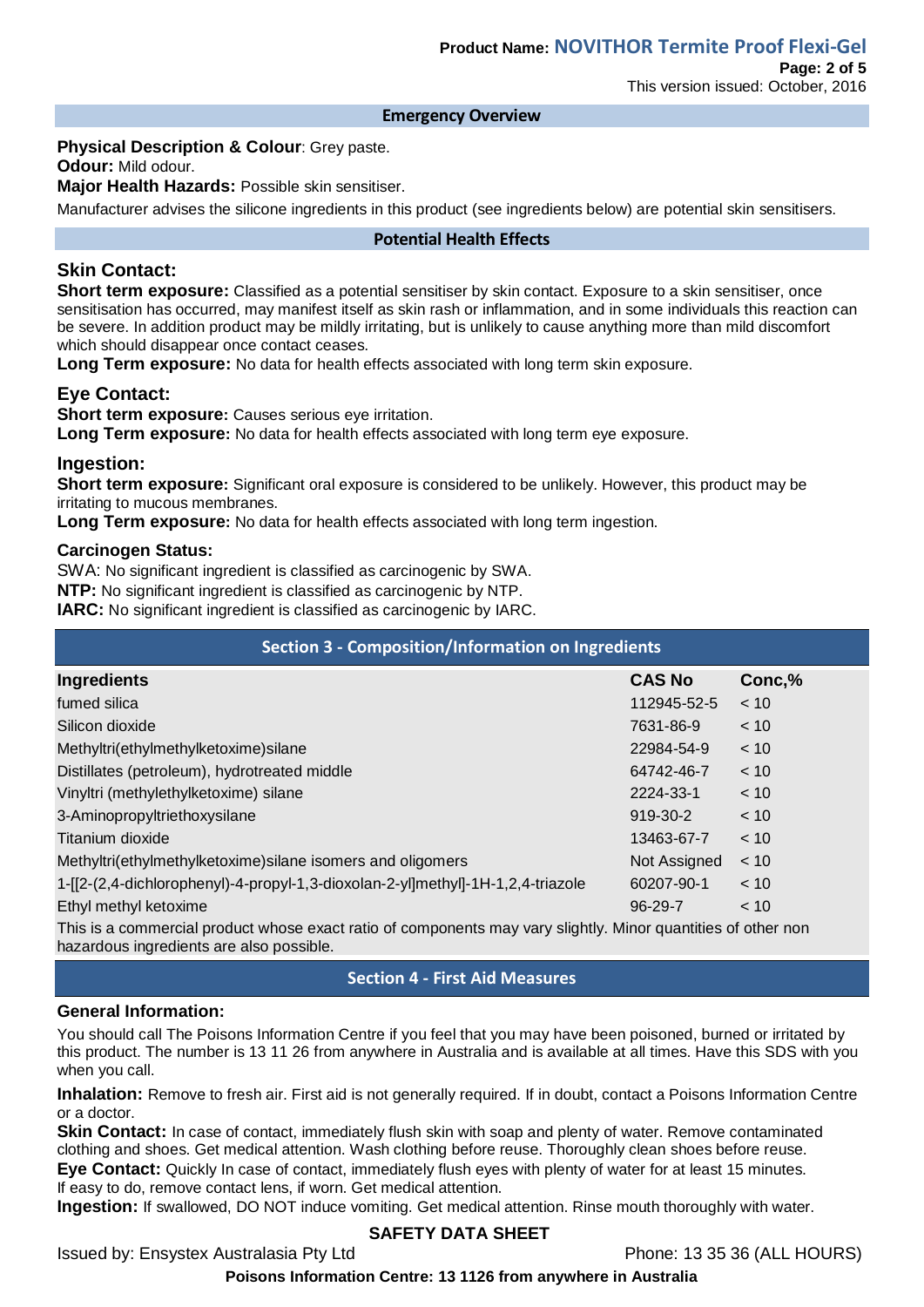#### **Emergency Overview**

**Physical Description & Colour**: Grey paste.

**Odour:** Mild odour.

**Major Health Hazards:** Possible skin sensitiser.

Manufacturer advises the silicone ingredients in this product (see ingredients below) are potential skin sensitisers.

#### **Potential Health Effects**

# **Skin Contact:**

**Short term exposure:** Classified as a potential sensitiser by skin contact. Exposure to a skin sensitiser, once sensitisation has occurred, may manifest itself as skin rash or inflammation, and in some individuals this reaction can be severe. In addition product may be mildly irritating, but is unlikely to cause anything more than mild discomfort which should disappear once contact ceases.

**Long Term exposure:** No data for health effects associated with long term skin exposure.

# **Eye Contact:**

**Short term exposure:** Causes serious eye irritation. **Long Term exposure:** No data for health effects associated with long term eye exposure.

# **Ingestion:**

**Short term exposure:** Significant oral exposure is considered to be unlikely. However, this product may be irritating to mucous membranes.

**Long Term exposure:** No data for health effects associated with long term ingestion.

#### **Carcinogen Status:**

SWA: No significant ingredient is classified as carcinogenic by SWA.

**NTP:** No significant ingredient is classified as carcinogenic by NTP.

**IARC:** No significant ingredient is classified as carcinogenic by IARC.

| <b>Section 3 - Composition/Information on Ingredients</b>                       |               |        |  |  |
|---------------------------------------------------------------------------------|---------------|--------|--|--|
| <b>Ingredients</b>                                                              | <b>CAS No</b> | Conc,% |  |  |
| fumed silica                                                                    | 112945-52-5   | < 10   |  |  |
| Silicon dioxide                                                                 | 7631-86-9     | < 10   |  |  |
| Methyltri(ethylmethylketoxime) silane                                           | 22984-54-9    | < 10   |  |  |
| Distillates (petroleum), hydrotreated middle                                    | 64742-46-7    | < 10   |  |  |
| Vinyltri (methylethylketoxime) silane                                           | 2224-33-1     | < 10   |  |  |
| 3-Aminopropyltriethoxysilane                                                    | 919-30-2      | < 10   |  |  |
| Titanium dioxide                                                                | 13463-67-7    | < 10   |  |  |
| Methyltri(ethylmethylketoxime) silane isomers and oligomers                     | Not Assigned  | < 10   |  |  |
| 1-[[2-(2,4-dichlorophenyl)-4-propyl-1,3-dioxolan-2-yl]methyl]-1H-1,2,4-triazole | 60207-90-1    | < 10   |  |  |
| Ethyl methyl ketoxime                                                           | $96-29-7$     | < 10   |  |  |
|                                                                                 |               |        |  |  |

This is a commercial product whose exact ratio of components may vary slightly. Minor quantities of other non hazardous ingredients are also possible.

# **Section 4 - First Aid Measures**

#### **General Information:**

You should call The Poisons Information Centre if you feel that you may have been poisoned, burned or irritated by this product. The number is 13 11 26 from anywhere in Australia and is available at all times. Have this SDS with you when you call.

**Inhalation:** Remove to fresh air. First aid is not generally required. If in doubt, contact a Poisons Information Centre or a doctor.

**Skin Contact:** In case of contact, immediately flush skin with soap and plenty of water. Remove contaminated clothing and shoes. Get medical attention. Wash clothing before reuse. Thoroughly clean shoes before reuse. **Eye Contact:** Quickly In case of contact, immediately flush eyes with plenty of water for at least 15 minutes. If easy to do, remove contact lens, if worn. Get medical attention.

**Ingestion:** If swallowed, DO NOT induce vomiting. Get medical attention. Rinse mouth thoroughly with water.

# **SAFETY DATA SHEET**

Issued by: Ensystex Australasia Pty Ltd Phone: 13 35 36 (ALL HOURS)

**Poisons Information Centre: 13 1126 from anywhere in Australia**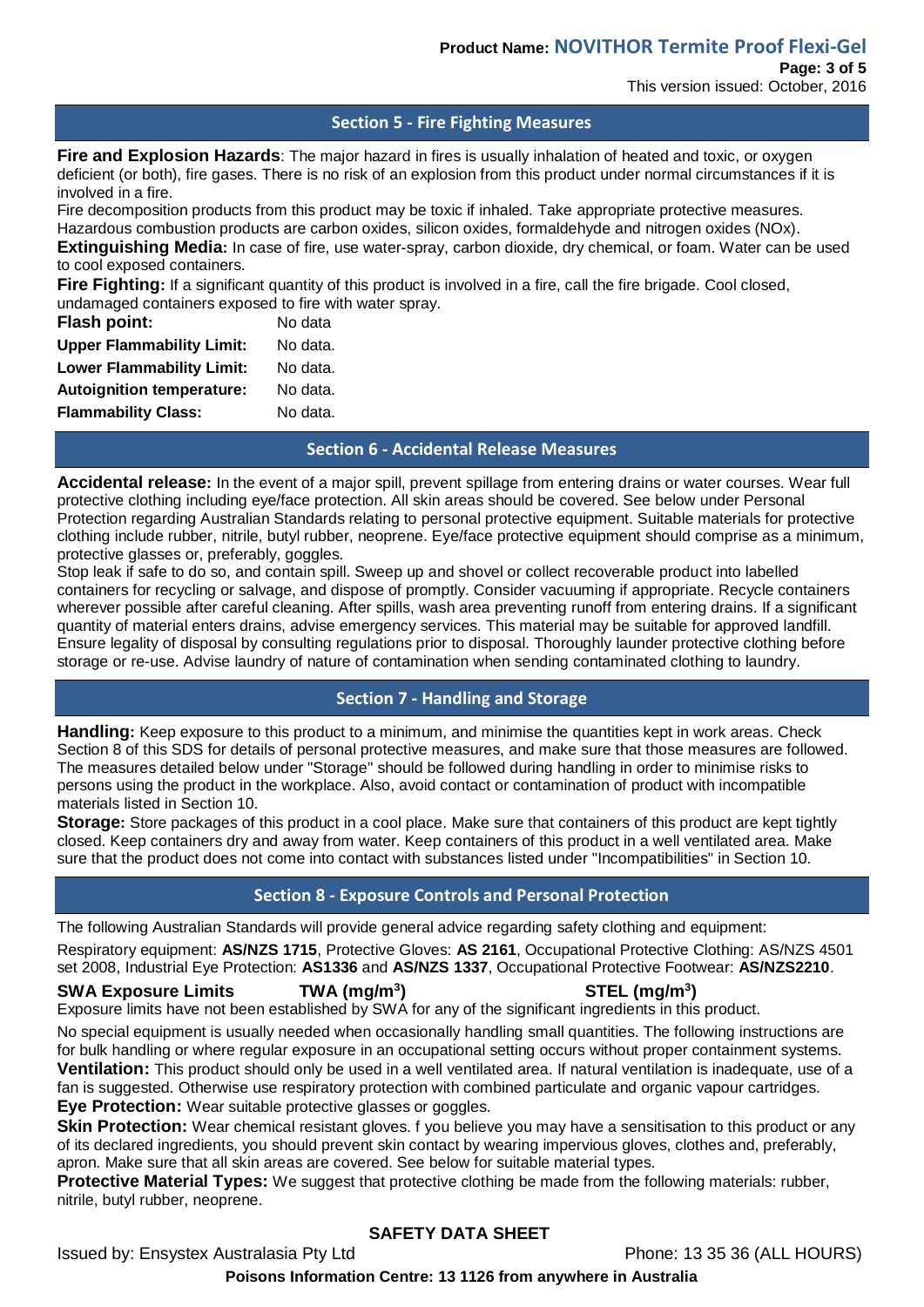**Page: 3 of 5** This version issued: October, 2016

#### **Section 5 - Fire Fighting Measures**

**Fire and Explosion Hazards**: The major hazard in fires is usually inhalation of heated and toxic, or oxygen deficient (or both), fire gases. There is no risk of an explosion from this product under normal circumstances if it is involved in a fire.

Fire decomposition products from this product may be toxic if inhaled. Take appropriate protective measures. Hazardous combustion products are carbon oxides, silicon oxides, formaldehyde and nitrogen oxides (NOx). **Extinguishing Media:** In case of fire, use water-spray, carbon dioxide, dry chemical, or foam. Water can be used

#### to cool exposed containers.

Fire Fighting: If a significant quantity of this product is involved in a fire, call the fire brigade. Cool closed, undamaged containers exposed to fire with water spray.

| Flash point:                     | No data  |
|----------------------------------|----------|
| <b>Upper Flammability Limit:</b> | No data. |
| <b>Lower Flammability Limit:</b> | No data. |
| <b>Autoignition temperature:</b> | No data. |
| <b>Flammability Class:</b>       | No data. |
|                                  |          |

#### **Section 6 - Accidental Release Measures**

**Accidental release:** In the event of a major spill, prevent spillage from entering drains or water courses. Wear full protective clothing including eye/face protection. All skin areas should be covered. See below under Personal Protection regarding Australian Standards relating to personal protective equipment. Suitable materials for protective clothing include rubber, nitrile, butyl rubber, neoprene. Eye/face protective equipment should comprise as a minimum, protective glasses or, preferably, goggles.

Stop leak if safe to do so, and contain spill. Sweep up and shovel or collect recoverable product into labelled containers for recycling or salvage, and dispose of promptly. Consider vacuuming if appropriate. Recycle containers wherever possible after careful cleaning. After spills, wash area preventing runoff from entering drains. If a significant quantity of material enters drains, advise emergency services. This material may be suitable for approved landfill. Ensure legality of disposal by consulting regulations prior to disposal. Thoroughly launder protective clothing before storage or re-use. Advise laundry of nature of contamination when sending contaminated clothing to laundry.

# **Section 7 - Handling and Storage**

**Handling:** Keep exposure to this product to a minimum, and minimise the quantities kept in work areas. Check Section 8 of this SDS for details of personal protective measures, and make sure that those measures are followed. The measures detailed below under "Storage" should be followed during handling in order to minimise risks to persons using the product in the workplace. Also, avoid contact or contamination of product with incompatible materials listed in Section 10.

**Storage:** Store packages of this product in a cool place. Make sure that containers of this product are kept tightly closed. Keep containers dry and away from water. Keep containers of this product in a well ventilated area. Make sure that the product does not come into contact with substances listed under "Incompatibilities" in Section 10.

# **Section 8 - Exposure Controls and Personal Protection**

The following Australian Standards will provide general advice regarding safety clothing and equipment:

Respiratory equipment: **AS/NZS 1715**, Protective Gloves: **AS 2161**, Occupational Protective Clothing: AS/NZS 4501 set 2008, Industrial Eye Protection: **AS1336** and **AS/NZS 1337**, Occupational Protective Footwear: **AS/NZS2210**.

#### **SWA Exposure Limits TWA (mg/m<sup>3</sup>**

#### **) STEL (mg/m<sup>3</sup> )**

Exposure limits have not been established by SWA for any of the significant ingredients in this product.

No special equipment is usually needed when occasionally handling small quantities. The following instructions are for bulk handling or where regular exposure in an occupational setting occurs without proper containment systems. **Ventilation:** This product should only be used in a well ventilated area. If natural ventilation is inadequate, use of a

fan is suggested. Otherwise use respiratory protection with combined particulate and organic vapour cartridges. **Eye Protection:** Wear suitable protective glasses or goggles.

**Skin Protection:** Wear chemical resistant gloves. f you believe you may have a sensitisation to this product or any of its declared ingredients, you should prevent skin contact by wearing impervious gloves, clothes and, preferably, apron. Make sure that all skin areas are covered. See below for suitable material types.

**Protective Material Types:** We suggest that protective clothing be made from the following materials: rubber, nitrile, butyl rubber, neoprene.

# **SAFETY DATA SHEET**

Issued by: Ensystex Australasia Pty Ltd Phone: 13 35 36 (ALL HOURS)

**Poisons Information Centre: 13 1126 from anywhere in Australia**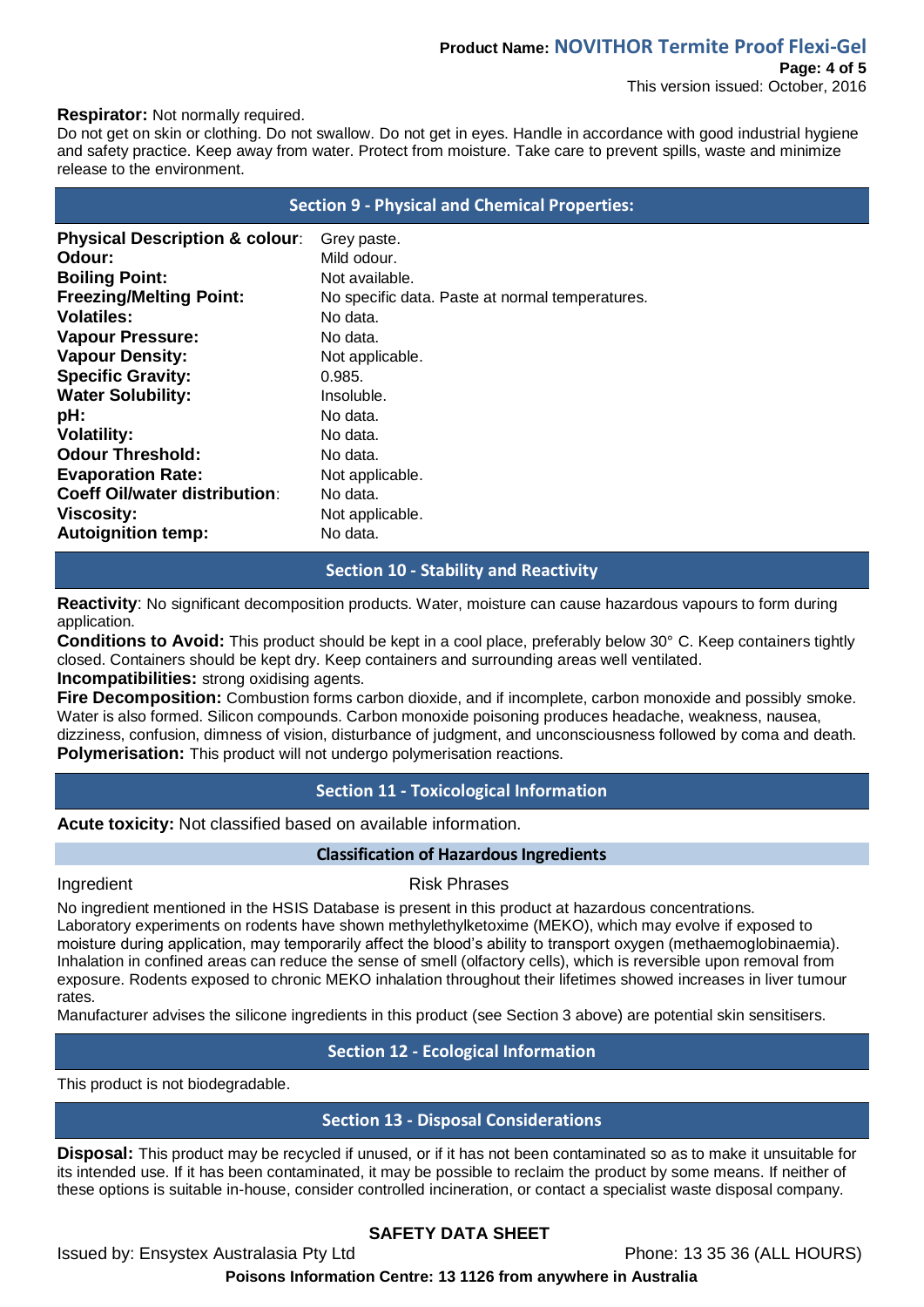# **Product Name: NOVITHOR Termite Proof Flexi-Gel Page: 4 of 5**

#### **Respirator:** Not normally required.

Do not get on skin or clothing. Do not swallow. Do not get in eyes. Handle in accordance with good industrial hygiene and safety practice. Keep away from water. Protect from moisture. Take care to prevent spills, waste and minimize release to the environment.

|                                           | <b>Section 9 - Physical and Chemical Properties:</b> |
|-------------------------------------------|------------------------------------------------------|
| <b>Physical Description &amp; colour:</b> | Grey paste.                                          |
| Odour:                                    | Mild odour.                                          |
| <b>Boiling Point:</b>                     | Not available.                                       |
| <b>Freezing/Melting Point:</b>            | No specific data. Paste at normal temperatures.      |
| <b>Volatiles:</b>                         | No data.                                             |
| <b>Vapour Pressure:</b>                   | No data.                                             |
| <b>Vapour Density:</b>                    | Not applicable.                                      |
| <b>Specific Gravity:</b>                  | 0.985.                                               |
| <b>Water Solubility:</b>                  | Insoluble.                                           |
| pH:                                       | No data.                                             |
| <b>Volatility:</b>                        | No data.                                             |
| <b>Odour Threshold:</b>                   | No data.                                             |
| <b>Evaporation Rate:</b>                  | Not applicable.                                      |
| <b>Coeff Oil/water distribution:</b>      | No data.                                             |
| <b>Viscosity:</b>                         | Not applicable.                                      |
| <b>Autoignition temp:</b>                 | No data.                                             |

# **Section 10 - Stability and Reactivity**

**Reactivity**: No significant decomposition products. Water, moisture can cause hazardous vapours to form during application.

**Conditions to Avoid:** This product should be kept in a cool place, preferably below 30° C. Keep containers tightly closed. Containers should be kept dry. Keep containers and surrounding areas well ventilated. **Incompatibilities:** strong oxidising agents.

**Fire Decomposition:** Combustion forms carbon dioxide, and if incomplete, carbon monoxide and possibly smoke. Water is also formed. Silicon compounds. Carbon monoxide poisoning produces headache, weakness, nausea, dizziness, confusion, dimness of vision, disturbance of judgment, and unconsciousness followed by coma and death. **Polymerisation:** This product will not undergo polymerisation reactions.

# **Section 11 - Toxicological Information**

**Acute toxicity:** Not classified based on available information.

#### **Classification of Hazardous Ingredients**

#### Ingredient **Risk Phrases**

No ingredient mentioned in the HSIS Database is present in this product at hazardous concentrations. Laboratory experiments on rodents have shown methylethylketoxime (MEKO), which may evolve if exposed to moisture during application, may temporarily affect the blood's ability to transport oxygen (methaemoglobinaemia). Inhalation in confined areas can reduce the sense of smell (olfactory cells), which is reversible upon removal from exposure. Rodents exposed to chronic MEKO inhalation throughout their lifetimes showed increases in liver tumour rates.

Manufacturer advises the silicone ingredients in this product (see Section 3 above) are potential skin sensitisers.

# **Section 12 - Ecological Information**

This product is not biodegradable.

# **Section 13 - Disposal Considerations**

**Disposal:** This product may be recycled if unused, or if it has not been contaminated so as to make it unsuitable for its intended use. If it has been contaminated, it may be possible to reclaim the product by some means. If neither of these options is suitable in-house, consider controlled incineration, or contact a specialist waste disposal company.

# **SAFETY DATA SHEET**

Issued by: Ensystex Australasia Pty Ltd Phone: 13 35 36 (ALL HOURS)

**Poisons Information Centre: 13 1126 from anywhere in Australia**